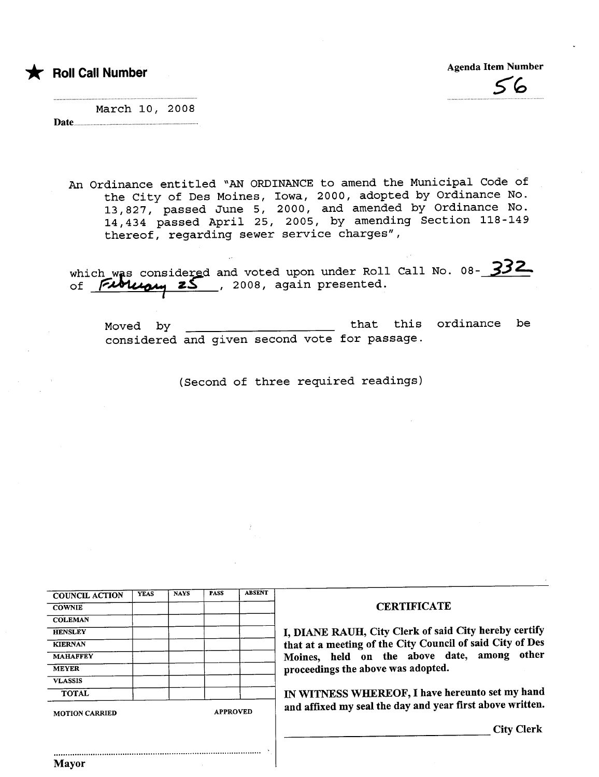\* Roll Call Number

Mayor

Agenda Item Number ~~

March 10, 2008 Date

An Ordinance entitled "AN ORDINANCE to amend the Municipal Code of the City of Des Moines, Iowa, 2000, adopted by Ordinance No. 13,827, passed June 5, 2000, and amended by Ordinance No. 14,434 passed April 25, 2005, by amending Section 118-149 thereof, regarding sewer service charges",

which was considered and voted upon under Roll Call No. 08- 332

Moved by that this ordinance be considered and given second vote for passage.

(Second of three required readings)

| <b>YEAS</b><br><b>COUNCIL ACTION</b><br><b>COWNIE</b><br><b>COLEMAN</b><br><b>HENSLEY</b><br><b>KIERNAN</b><br><b>MAHAFFEY</b><br><b>MEYER</b><br><b>VLASSIS</b> | <b>NAYS</b> | <b>PASS</b>     | <b>ABSENT</b> | <b>CERTIFICATE</b><br>I, DIANE RAUH, City Clerk of said City hereby certify |  |
|------------------------------------------------------------------------------------------------------------------------------------------------------------------|-------------|-----------------|---------------|-----------------------------------------------------------------------------|--|
|                                                                                                                                                                  |             |                 |               |                                                                             |  |
|                                                                                                                                                                  |             |                 |               |                                                                             |  |
|                                                                                                                                                                  |             |                 |               |                                                                             |  |
|                                                                                                                                                                  |             |                 |               |                                                                             |  |
|                                                                                                                                                                  |             |                 |               | that at a meeting of the City Council of said City of Des                   |  |
|                                                                                                                                                                  |             |                 |               | Moines, held on the above date, among other                                 |  |
|                                                                                                                                                                  |             |                 |               | proceedings the above was adopted.                                          |  |
|                                                                                                                                                                  |             |                 |               |                                                                             |  |
| <b>TOTAL</b>                                                                                                                                                     |             |                 |               | IN WITNESS WHEREOF, I have hereunto set my hand                             |  |
| <b>MOTION CARRIED</b>                                                                                                                                            |             | <b>APPROVED</b> |               | and affixed my seal the day and year first above written.                   |  |
|                                                                                                                                                                  |             |                 |               | <b>City Clerk</b>                                                           |  |
|                                                                                                                                                                  |             |                 |               |                                                                             |  |
| Mavor                                                                                                                                                            |             |                 |               |                                                                             |  |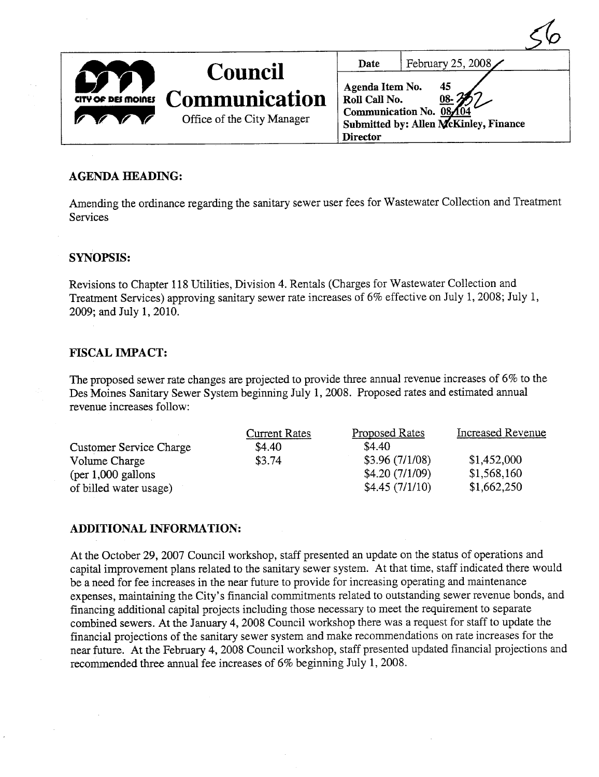|                    |                                                                      |                                                     | ◡                                                                                   |
|--------------------|----------------------------------------------------------------------|-----------------------------------------------------|-------------------------------------------------------------------------------------|
|                    |                                                                      | Date                                                | February 25, 2008 $\angle$                                                          |
| CITY OF DES MOINES | <b>Council</b><br><b>Communication</b><br>Office of the City Manager | Agenda Item No.<br>Roll Call No.<br><b>Director</b> | 45<br>$08 - 3$<br>Communication No. 08,104<br>Submitted by: Allen McKinley, Finance |

### AGENDA HEADING:

Amending the ordinance regarding the sanitary sewer user fees for Wastewater Collection and Treatment Services

#### SYNOPSIS:

Revisions to Chapter 118 Utilities, Division 4. Rentals (Charges for Wastewater Collection and Treatment Services) approving santary sewer rate increases of 6% effective on July 1,2008; July 1, 2009; and July 1, 2010.

#### **FISCAL IMPACT:**

The proposed sewer rate changes are projected to provide thee annual revenue increases of 6% to the Des Moines Santary Sewer System beginning July 1,2008. Proposed rates and estimated annual revenue increases follow:

|                         | <b>Current Rates</b> | Proposed Rates | Increased Revenue |
|-------------------------|----------------------|----------------|-------------------|
| Customer Service Charge | \$4.40               | \$4.40         |                   |
| Volume Charge           | \$3.74               | \$3.96(7/1/08) | \$1,452,000       |
| $per 1,000$ gallons     |                      | \$4.20(7/1/09) | \$1,568,160       |
| of billed water usage)  |                      | \$4.45(7/1/10) | \$1,662,250       |

#### ADDITIONAL INFORMATION:

At the October 29, 2007 Council workshop, staff presented an update on the status of operations and capital improvement plans related to the sanitary sewer system. At that time, staff indicated there would be a need for fee increases in the near future to provide for increasing operating and maintenance expenses, maintaining the City's financial commitments related to outstanding sewer revenue bonds, and financing additional capital projects including those necessary to meet the requirement to separate combined sewers. At the January 4, 2008 Council workshop there was a request for staff to update the financial projections of the sanitary sewer system and make recommendations on rate increases for the near future. At the February 4, 2008 Council workshop, staff presented updated financial projections and recommended three annual fee increases of 6% beginning July 1, 2008.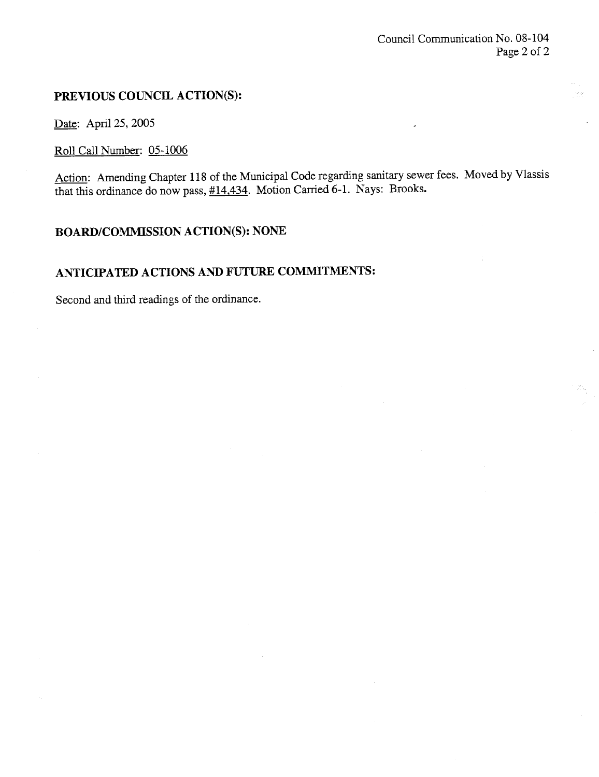## PREVIOUS COUNCIL ACTION(S):

Date: April 25, 2005

# Roll Call Number: 05-1006

Action: Amending Chapter 118 of the Municipal Code regarding santary sewer fees. Moved by Vlassis that this ordinance do now pass,  $\frac{\#14,434}{}$ . Motion Carried 6-1. Nays: Brooks.

# BOARD/COMMSSION ACTION(S): NONE

# ANTICIPATED ACTIONS AND FUTURE COMMITMENTS:

Second and third readings of the ordinance.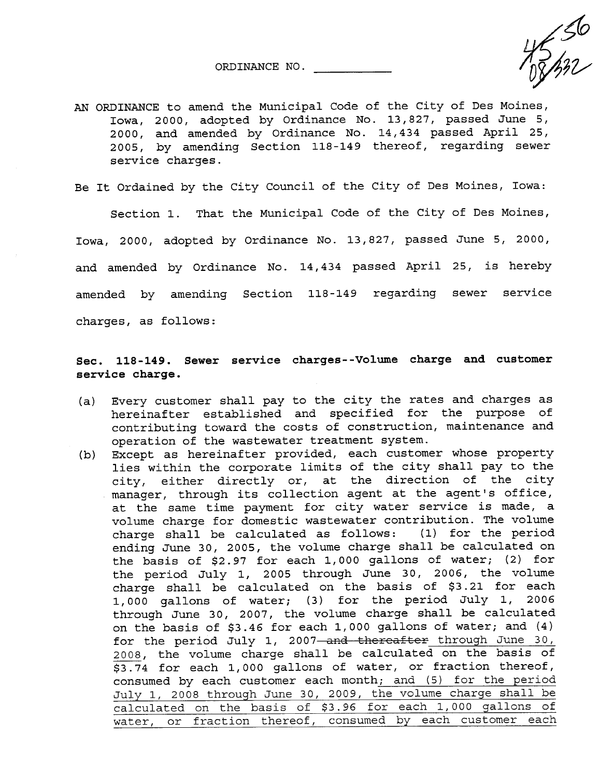ORDINANCE NO. ~

AN ORDINANCE to amend the Municipal Code of the City of Des Moines, Iowa, 2000, adopted by Ordinance No. 13,827, passed June 5, 2000, and amended by Ordinance No. 14,434 passed April 25, 2005, by amending Section 118-149 thereof, regarding sewer service charges.

Be It Ordained by the City Council of the City of Des Moines, Iowa:

Section 1. That the Municipal Code of the City of Des Moines, Iowa, 2000, adopted by Ordinance No. 13,827, passed June 5, 2000, and amended by Ordinance No. 14,434 passed April 25, is hereby amended by amending Section 118-149 regarding sewer service charges, as follows:

### Sec. 118-149. Sewer service charges--Volume charge and customer service charge.

- (a) Every customer shall pay to the city the rates and charges as hereinafter established and specified for the purpose of contributing toward the costs of construction, maintenance and operation of the wastewater treatment system.
- (b) Except as hereinafter provided, each customer whose property lies within the corporate limits of the city shall pay to the city, either directly or, at the direction of the city manager, through its collection agent at the agent's office, at the same time payment for city water service is made, a volume charge for domestic wastewater contribution. The volume charge shall be calculated as follows: (1) for the period ending June 30, 2005, the volume charge shall be calculated on the basis of \$2.97 for each 1,000 gallons of water; (2) for the period July 1, 2005 through June 30, 2006, the volume charge shall be calculated on the basis of \$3.21 for each 1,000 gallons of water; (3) for the period July 1, 2006 through June 30, 2007, the volume charge shall be calculated on the basis of \$3.46 for each 1,000 gallons of water; and (4) for the period July 1, 2007-and thereafter through June 30, 2008, the volume charge shall be calculated on the basis of \$3.74 for each 1,000 gallons of water, or fraction thereof, consumed by each customer each month; and (5) for the period July 1, 2008 through June 30, 2009, the volume charge shall be calculated on the basis of \$3.96 for each 1,000 gallons of water, or fraction thereof, consumed by each customer each